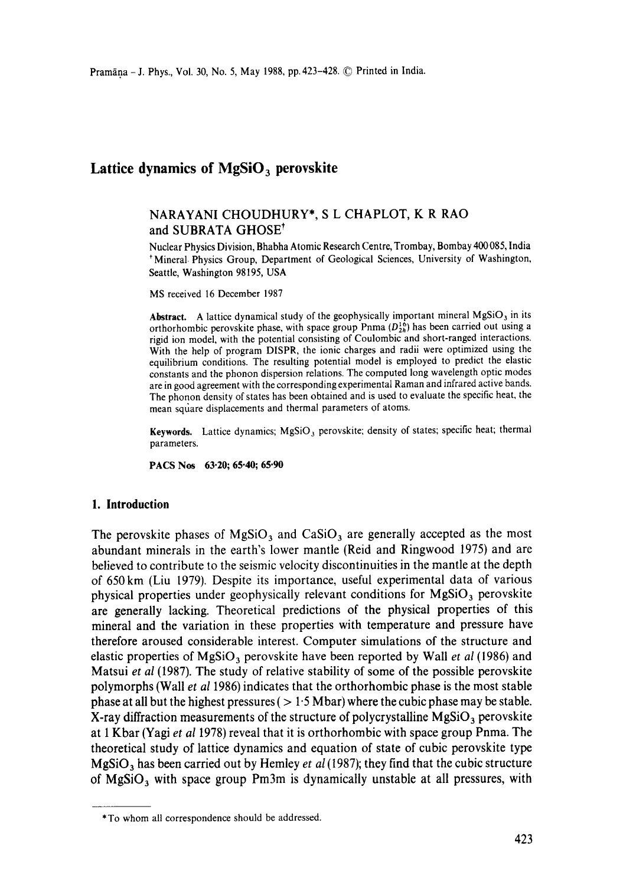# Lattice dynamics of MgSiO<sub>3</sub> perovskite

## NARAYANI CHOUDHURY\*, S L CHAPLOT, K R RAO and SUBRATA GHOSE<sup>†</sup>

Nuclear Physics Division, Bhabha Atomic Research Centre, Trombay, Bombay 400 085, India + Mineral. Physics Group, Department of Geological Sciences, University of Washington, Seattle, Washington 98195, USA

MS received 16 December 1987

Abstract. A lattice dynamical study of the geophysically important mineral  $MgSiO<sub>3</sub>$  in its orthorhombic perovskite phase, with space group Pnma  $(D_{2h}^{16})$  has been carried out using a rigid ion model, with the potential consisting of Coulombic and short-ranged interactions. With the help of program DISPR, the ionic charges and radii were optimized using the equilibrium conditions. The resulting potential model is employed to predict the elastic constants and the phonon dispersion relations. The computed long wavelength optic modes are in good agreement with the corresponding experimental Raman and infrared active bands. The phonon density of states has been obtained and is used to evaluate the specific heat, the mean square displacements and thermal parameters of atoms.

Keywords. Lattice dynamics;  $MgSiO<sub>3</sub>$  perovskite; density of states; specific heat; thermal parameters.

**PACS Nos** 63.20; 65.40; 65.90

#### **1. Introduction**

The perovskite phases of MgSiO<sub>3</sub> and CaSiO<sub>3</sub> are generally accepted as the most abundant minerals in the earth's lower mantle (Reid and Ringwood 1975) and are believed to contribute to the seismic velocity discontinuities in the mantle at the depth of 650km (Liu 1979). Despite its importance, useful experimental data of various physical properties under geophysically relevant conditions for  $MgSiO<sub>3</sub>$  perovskite are generally lacking. Theoretical predictions of the physical properties of this mineral and the variation in these properties with temperature and pressure have therefore aroused considerable interest. Computer simulations of the structure and elastic properties of MgSiO 3 perovskite have been reported by Wall *et al* (1986) and Matsui *et al* (1987). The study of relative stability of some of the possible perovskite polymorphs (Wall *et al* 1986) indicates that the orthorhombic phase is the most stable phase at all but the highest pressures ( $> 1.5$  Mbar) where the cubic phase may be stable. X-ray diffraction measurements of the structure of polycrystalline  $MgSiO<sub>3</sub>$  perovskite at 1 Kbar (Yagi *et al* 1978) reveal that it is orthorhombic with space group Pnma. The theoretical study of lattice dynamics and equation of state of cubic perovskite type  $MgSiO<sub>3</sub>$  has been carried out by Hemley *et al* (1987); they find that the cubic structure of  $MgSiO<sub>3</sub>$  with space group Pm3m is dynamically unstable at all pressures, with

<sup>\*</sup>To whom all correspondence should be addressed.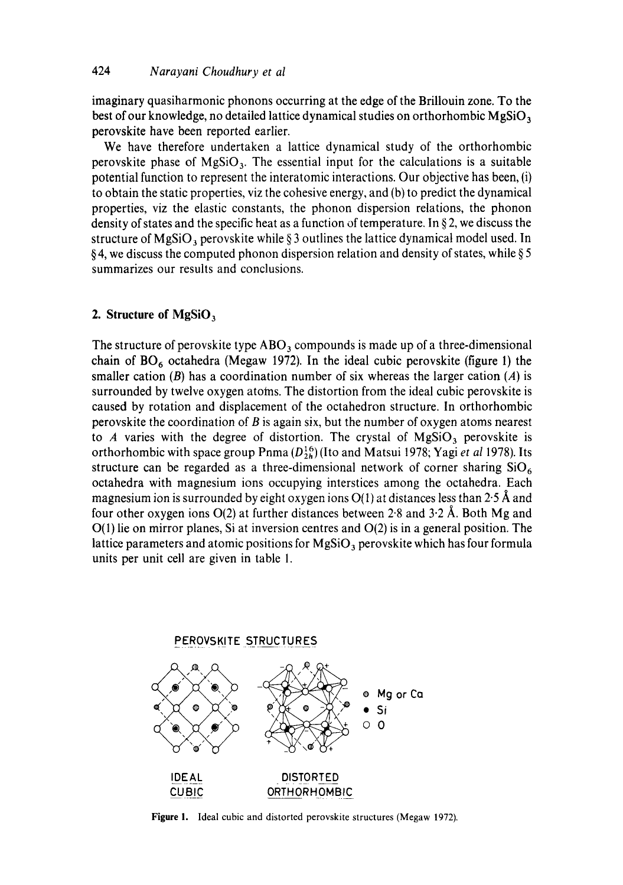imaginary quasiharmonic phonons occurring at the edge of the Brillouin zone. To the best of our knowledge, no detailed lattice dynamical studies on orthorhombic  $MgSiO<sub>3</sub>$ perovskite have been reported earlier.

We have therefore undertaken a lattice dynamical study of the orthorhombic perovskite phase of  $MgSiO<sub>3</sub>$ . The essential input for the calculations is a suitable potential function to represent the interatomic interactions. Our objective has been, (i) to obtain the static properties, viz the cohesive energy, and (b) to predict the dynamical properties, viz the elastic constants, the phonon dispersion relations, the phonon density of states and the specific heat as a function of temperature. In § 2, we discuss the structure of MgSiO<sub>3</sub> perovskite while § 3 outlines the lattice dynamical model used. In § 4, we discuss the computed phonon dispersion relation and density of states, while § 5 summarizes our results and conclusions.

## **2. Structure of MgSiO 3**

The structure of perovskite type  $\rm{ABO}_3$  compounds is made up of a three-dimensional chain of  $BO<sub>6</sub>$  octahedra (Megaw 1972). In the ideal cubic perovskite (figure 1) the smaller cation  $(B)$  has a coordination number of six whereas the larger cation  $(A)$  is surrounded by twelve oxygen atoms. The distortion from the ideal cubic perovskite is caused by rotation and displacement of the octahedron structure. In orthorhombic perovskite the coordination of  $B$  is again six, but the number of oxygen atoms nearest to A varies with the degree of distortion. The crystal of  $MgSiO<sub>3</sub>$  perovskite is orthorhombic with space group Pnma  $(D_{2h}^{16})$  (Ito and Matsui 1978; Yagi *et al* 1978). Its structure can be regarded as a three-dimensional network of corner sharing  $SiO<sub>6</sub>$ octahedra with magnesium ions occupying interstices among the octahedra. Each magnesium ion is surrounded by eight oxygen ions  $O(1)$  at distances less than 2.5 Å and four other oxygen ions  $O(2)$  at further distances between 2.8 and 3.2 Å. Both Mg and  $O(1)$  lie on mirror planes, Si at inversion centres and  $O(2)$  is in a general position. The lattice parameters and atomic positions for  $MgSiO<sub>3</sub>$  perovskite which has four formula units per unit cell are given in table I.



Figure I. Ideal cubic and distorted perovskite structures (Megaw 1972).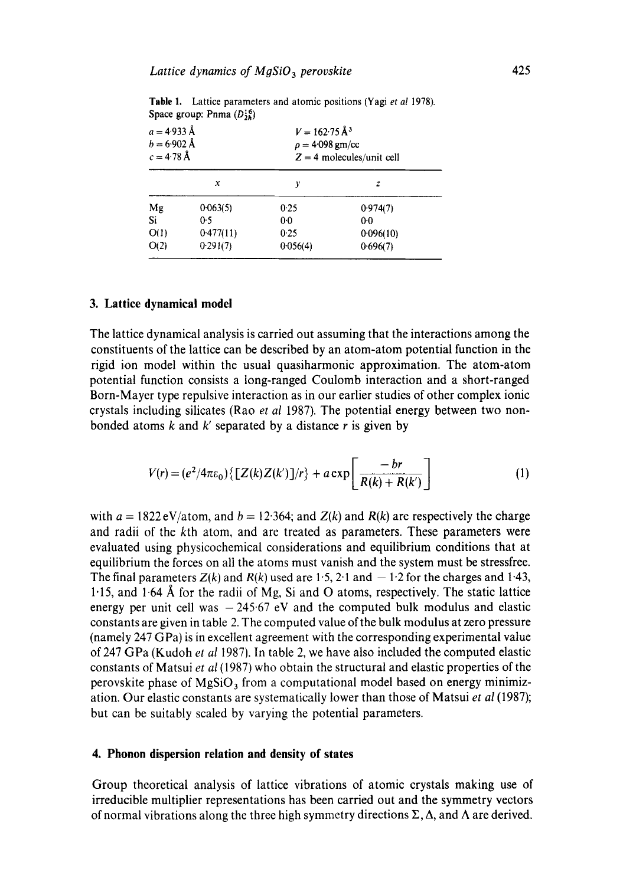| $a = 4.933 \text{ Å}$<br>$b = 6.902 \text{ Å}$<br>$c = 4.78 \text{ Å}$ |           | $V = 162.75 \text{ Å}^3$<br>$\rho = 4.098$ gm/cc<br>$Z = 4$ molecules/unit cell |           |
|------------------------------------------------------------------------|-----------|---------------------------------------------------------------------------------|-----------|
|                                                                        | x         | у                                                                               | z         |
| Mg                                                                     | 0.063(5)  | 0.25                                                                            | 0.974(7)  |
| Si                                                                     | 0.5       | 00                                                                              | $0-0$     |
| O(1)                                                                   | 0.477(11) | 0.25                                                                            | 0.096(10) |
| O(2)                                                                   | 0.291(7)  | 0.056(4)                                                                        | 0.696(7)  |

**Table** 1. Lattice parameters and atomic positions (Yagi *et al* 1978). Space group: Pnma  $(D_{2h}^{16})$ 

#### **3. Lattice dynamical model**

The lattice dynamical analysis is carried out assuming that the interactions among the constituents of the lattice can be described by an atom-atom potential function in the rigid ion model within the usual quasiharmonic approximation. The atom-atom potential function consists a long-ranged Coulomb interaction and a short-ranged Born-Mayer type repulsive interaction as in our earlier studies of other complex ionic crystals including silicates (Rao *et al* 1987). The potential energy between two nonbonded atoms  $k$  and  $k'$  separated by a distance  $r$  is given by

$$
V(r) = (e2/4\pi\varepsilon_0)\{[Z(k)Z(k')]/r\} + a \exp\left[\frac{-br}{R(k) + R(k')}\right]
$$
 (1)

with  $a = 1822 \text{ eV/atom}$ , and  $b = 12.364$ ; and  $Z(k)$  and  $R(k)$  are respectively the charge and radii of the kth atom, and are treated as parameters. These parameters were evaluated using physicochemical considerations and equilibrium conditions that at equilibrium the forces on all the atoms must vanish and the system must be stressfree. The final parameters  $Z(k)$  and  $R(k)$  used are 1.5, 2.1 and  $-1.2$  for the charges and 1.43, 1.15, and 1.64 Å for the radii of Mg, Si and O atoms, respectively. The static lattice energy per unit cell was  $-245.67$  eV and the computed bulk modulus and elastic constants are given in table 2. The computed value of the bulk modulus at zero pressure (namely 247 GPa) is in excellent agreement with the corresponding experimental value of 247 GPa (Kudoh *et al* 1987). In table 2, we have also included the computed elastic constants of Matsui *et al* (1987) who obtain the structural and elastic properties of the perovskite phase of  $MgSiO<sub>3</sub>$  from a computational model based on energy minimization. Our elastic constants are systematically lower than those of Matsui *et al* (1987); but can be suitably scaled by varying the potential parameters.

### **4. Phonon dispersion relation and density of states**

Group theoretical analysis of lattice vibrations of atomic crystals making use of irreducible multiplier representations has been carried out and the symmetry vectors of normal vibrations along the three high symmetry directions  $\Sigma$ ,  $\Delta$ , and  $\Lambda$  are derived.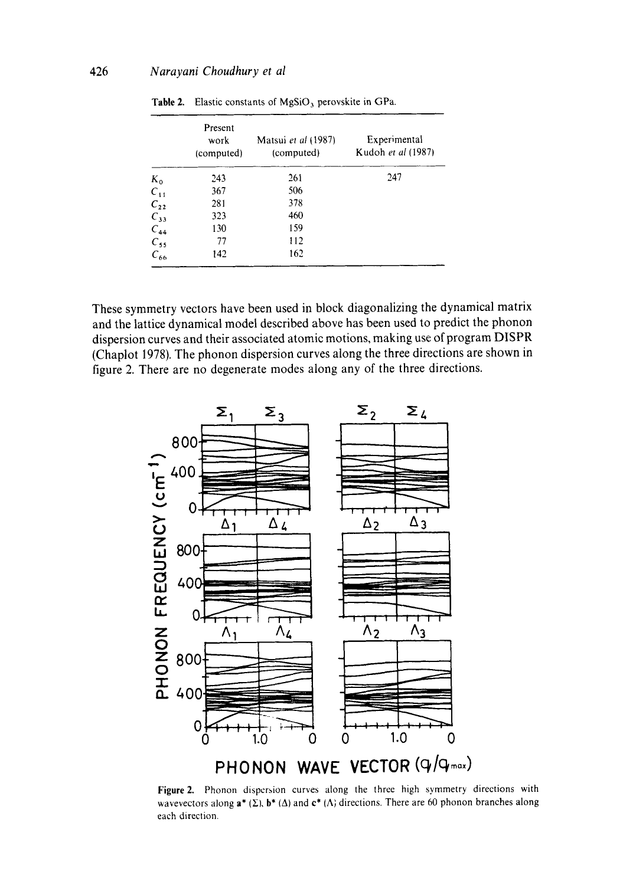|                                                                  | Present<br>work<br>(computed) | Matsui et al (1987)<br>(computed) | Experimental<br>Kudoh et al (1987) |
|------------------------------------------------------------------|-------------------------------|-----------------------------------|------------------------------------|
|                                                                  | 243                           | 261                               | 247                                |
| $\begin{array}{c} K_0 \\ C_{11} \\ C_{22} \\ C_{33} \end{array}$ | 367                           | 506                               |                                    |
|                                                                  | 281                           | 378                               |                                    |
|                                                                  | 323                           | 460                               |                                    |
|                                                                  | 130                           | 159                               |                                    |
| $C_{44}$<br>$C_{55}$                                             | 77                            | 112                               |                                    |
| $C_{66}$                                                         | 142                           | 162                               |                                    |

Table 2. Elastic constants of MgSiO<sub>3</sub> perovskite in GPa.

**These symmetry vectors have been used in block diagonalizing the dynamical matrix and the lattice dynamical model described above has been used to predict the phonon dispersion curves and their associated atomic motions, making use of program DISPR (Chaplot 1978). The phonon dispersion curves along the three directions are shown in figure 2. There are no degenerate modes along any of the three directions.** 



**Figure 2. Phonon dispersion curves along the three high symmetry directions with**  wavevectors along  $a^*(\Sigma)$ ,  $b^*(\Delta)$  and  $c^*(\Lambda)$  directions. There are 60 phonon branches along **each direction.**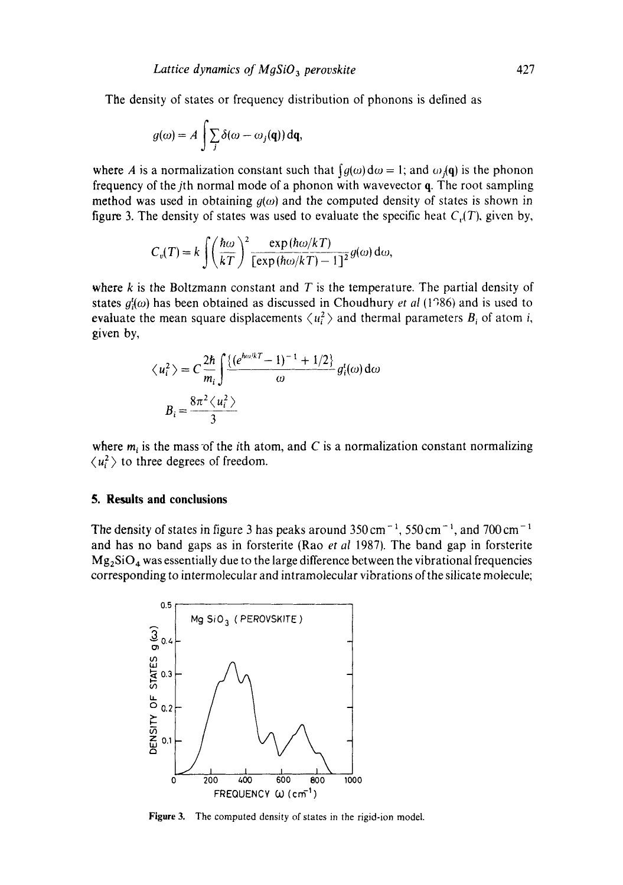The density of states or frequency distribution of phonons is defined as

$$
g(\omega) = A \int \sum_j \delta(\omega - \omega_j(\mathbf{q})) \, \mathrm{d}\mathbf{q},
$$

where A is a normalization constant such that  $\int q(\omega) d\omega = 1$ ; and  $\omega_j(q)$  is the phonon frequency of the *j*th normal mode of a phonon with wavevector  $q$ . The root sampling method was used in obtaining  $g(\omega)$  and the computed density of states is shown in figure 3. The density of states was used to evaluate the specific heat  $C<sub>r</sub>(T)$ , given by,

$$
C_v(T) = k \int \left(\frac{\hbar \omega}{kT}\right)^2 \frac{\exp(\hbar \omega/kT)}{[\exp(\hbar \omega/kT) - 1]^2} g(\omega) d\omega,
$$

where  $k$  is the Boltzmann constant and  $T$  is the temperature. The partial density of states  $g_t^i(\omega)$  has been obtained as discussed in Choudhury *et al* (1986) and is used to evaluate the mean square displacements  $\langle u_i^2 \rangle$  and thermal parameters  $B_i$  of atom i, given by,

$$
\langle u_i^2 \rangle = C \frac{2\hbar}{m_i} \int \frac{\{(e^{\hbar \omega / kT} - 1)^{-1} + 1/2\}}{\omega} g_i^i(\omega) d\omega
$$

$$
B_i = \frac{8\pi^2 \langle u_i^2 \rangle}{3}
$$

where  $m_i$  is the mass of the *i*th atom, and C is a normalization constant normalizing  $\langle u_i^2 \rangle$  to three degrees of freedom.

#### **5. Results and conclusions**

The density of states in figure 3 has peaks around  $350 \text{ cm}^{-1}$ ,  $550 \text{ cm}^{-1}$ , and  $700 \text{ cm}^{-1}$ and has no band gaps as in forsterite (Rao *et al* 1987). The band gap in forsterite  $Mg_2SiO_4$  was essentially due to the large difference between the vibrational frequencies corresponding to intermolecular and intramolecular vibrations of the silicate molecule;



Figure 3. The computed density of states in the rigid-ion model.